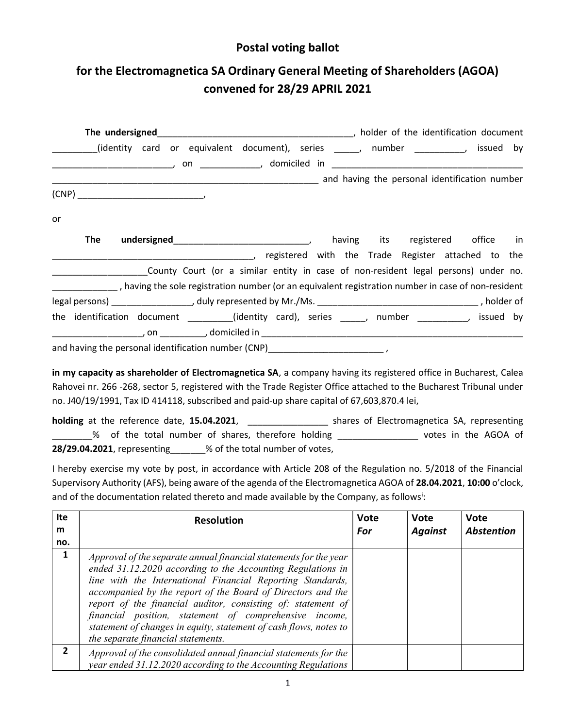## Postal voting ballot

## for the Electromagnetica SA Ordinary General Meeting of Shareholders (AGOA) convened for 28/29 APRIL 2021

| identity card or equivalent document), series ______, number ____________, issued by ____________,                                                                                                                                           |  |
|----------------------------------------------------------------------------------------------------------------------------------------------------------------------------------------------------------------------------------------------|--|
|                                                                                                                                                                                                                                              |  |
| and having the personal identification number (2008) and the service and the service of the personal identification number                                                                                                                   |  |
|                                                                                                                                                                                                                                              |  |
| or                                                                                                                                                                                                                                           |  |
| <b>The</b><br>registered with the Trade Register attached to the equation of the state of the state of the state of the state of the state of the state of the state of the state of the state of the state of the state of the state of the |  |
| _______________________County Court (or a similar entity in case of non-resident legal persons) under no.                                                                                                                                    |  |
| _______________, having the sole registration number (or an equivalent registration number in case of non-resident                                                                                                                           |  |
|                                                                                                                                                                                                                                              |  |
| the identification document ________(identity card), series _____, number _________, issued by                                                                                                                                               |  |
| and having the personal identification number (CNP)_____________________________,                                                                                                                                                            |  |

in my capacity as shareholder of Electromagnetica SA, a company having its registered office in Bucharest, Calea Rahovei nr. 266 -268, sector 5, registered with the Trade Register Office attached to the Bucharest Tribunal under no. J40/19/1991, Tax ID 414118, subscribed and paid-up share capital of 67,603,870.4 lei,

holding at the reference date, 15.04.2021, \_\_\_\_\_\_\_\_\_\_\_\_\_\_\_\_\_\_\_\_ shares of Electromagnetica SA, representing \_\_\_\_\_\_\_\_% of the total number of shares, therefore holding \_\_\_\_\_\_\_\_\_\_\_\_\_\_\_\_ votes in the AGOA of 28/29.04.2021, representing\_\_\_\_\_\_% of the total number of votes,

I hereby exercise my vote by post, in accordance with Article 208 of the Regulation no. 5/2018 of the Financial Supervisory Authority (AFS), being aware of the agenda of the Electromagnetica AGOA of 28.04.2021, 10:00 o'clock, and of the documentation related thereto and made available by the Company, as follows<sup>i</sup>:

| Ite<br>m<br>no. | <b>Resolution</b>                                                                                                                                                                                                                                                                                                                                                                                                                                                                                  | <b>Vote</b><br>For | <b>Vote</b><br><b>Against</b> | <b>Vote</b><br><b>Abstention</b> |
|-----------------|----------------------------------------------------------------------------------------------------------------------------------------------------------------------------------------------------------------------------------------------------------------------------------------------------------------------------------------------------------------------------------------------------------------------------------------------------------------------------------------------------|--------------------|-------------------------------|----------------------------------|
| 1               | Approval of the separate annual financial statements for the year<br>ended 31.12.2020 according to the Accounting Regulations in<br>line with the International Financial Reporting Standards,<br>accompanied by the report of the Board of Directors and the<br>report of the financial auditor, consisting of: statement of<br>financial position, statement of comprehensive income,<br>statement of changes in equity, statement of cash flows, notes to<br>the separate financial statements. |                    |                               |                                  |
| $\mathbf{2}$    | Approval of the consolidated annual financial statements for the<br>year ended 31.12.2020 according to the Accounting Regulations                                                                                                                                                                                                                                                                                                                                                                  |                    |                               |                                  |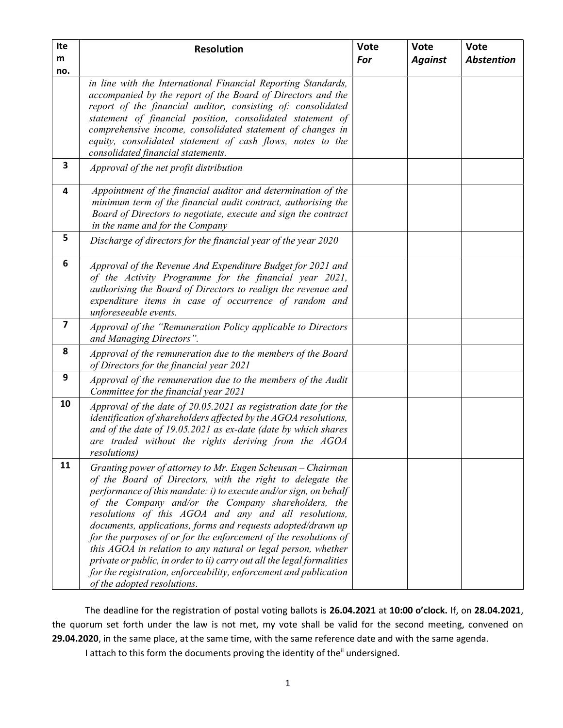| Ite<br>m                | <b>Resolution</b>                                                                                                                                                                                                                                                                                                                                                                                                                                                                                                                                                                                                                                                                                   | <b>Vote</b><br>For | <b>Vote</b><br><b>Against</b> | <b>Vote</b><br><b>Abstention</b> |
|-------------------------|-----------------------------------------------------------------------------------------------------------------------------------------------------------------------------------------------------------------------------------------------------------------------------------------------------------------------------------------------------------------------------------------------------------------------------------------------------------------------------------------------------------------------------------------------------------------------------------------------------------------------------------------------------------------------------------------------------|--------------------|-------------------------------|----------------------------------|
| no.                     | in line with the International Financial Reporting Standards,<br>accompanied by the report of the Board of Directors and the<br>report of the financial auditor, consisting of: consolidated<br>statement of financial position, consolidated statement of<br>comprehensive income, consolidated statement of changes in<br>equity, consolidated statement of cash flows, notes to the<br>consolidated financial statements.                                                                                                                                                                                                                                                                        |                    |                               |                                  |
| 3                       | Approval of the net profit distribution                                                                                                                                                                                                                                                                                                                                                                                                                                                                                                                                                                                                                                                             |                    |                               |                                  |
| 4                       | Appointment of the financial auditor and determination of the<br>minimum term of the financial audit contract, authorising the<br>Board of Directors to negotiate, execute and sign the contract<br>in the name and for the Company                                                                                                                                                                                                                                                                                                                                                                                                                                                                 |                    |                               |                                  |
| 5                       | Discharge of directors for the financial year of the year 2020                                                                                                                                                                                                                                                                                                                                                                                                                                                                                                                                                                                                                                      |                    |                               |                                  |
| 6                       | Approval of the Revenue And Expenditure Budget for 2021 and<br>of the Activity Programme for the financial year 2021,<br>authorising the Board of Directors to realign the revenue and<br>expenditure items in case of occurrence of random and<br>unforeseeable events.                                                                                                                                                                                                                                                                                                                                                                                                                            |                    |                               |                                  |
| $\overline{\mathbf{z}}$ | Approval of the "Remuneration Policy applicable to Directors<br>and Managing Directors".                                                                                                                                                                                                                                                                                                                                                                                                                                                                                                                                                                                                            |                    |                               |                                  |
| 8                       | Approval of the remuneration due to the members of the Board<br>of Directors for the financial year 2021                                                                                                                                                                                                                                                                                                                                                                                                                                                                                                                                                                                            |                    |                               |                                  |
| 9                       | Approval of the remuneration due to the members of the Audit<br>Committee for the financial year 2021                                                                                                                                                                                                                                                                                                                                                                                                                                                                                                                                                                                               |                    |                               |                                  |
| 10                      | Approval of the date of 20.05.2021 as registration date for the<br>identification of shareholders affected by the AGOA resolutions,<br>and of the date of 19.05.2021 as ex-date (date by which shares<br>are traded without the rights deriving from the AGOA<br><i>resolutions</i> )                                                                                                                                                                                                                                                                                                                                                                                                               |                    |                               |                                  |
| 11                      | Granting power of attorney to Mr. Eugen Scheusan - Chairman<br>of the Board of Directors, with the right to delegate the<br>performance of this mandate: $i$ ) to execute and/or sign, on behalf<br>of the Company and/or the Company shareholders, the<br>resolutions of this AGOA and any and all resolutions,<br>documents, applications, forms and requests adopted/drawn up<br>for the purposes of or for the enforcement of the resolutions of<br>this AGOA in relation to any natural or legal person, whether<br>private or public, in order to ii) carry out all the legal formalities<br>for the registration, enforceability, enforcement and publication<br>of the adopted resolutions. |                    |                               |                                  |

The deadline for the registration of postal voting ballots is 26.04.2021 at 10:00 o'clock. If, on 28.04.2021, the quorum set forth under the law is not met, my vote shall be valid for the second meeting, convened on 29.04.2020, in the same place, at the same time, with the same reference date and with the same agenda.

I attach to this form the documents proving the identity of the<sup>ii</sup> undersigned.